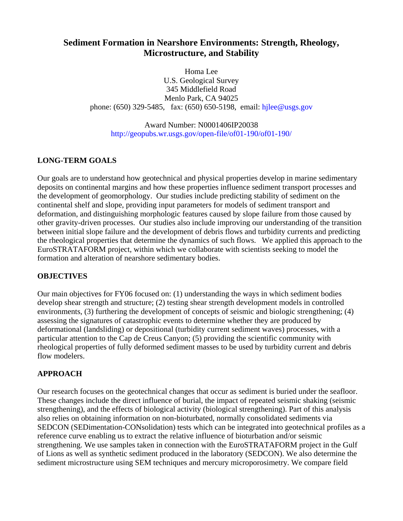# **Sediment Formation in Nearshore Environments: Strength, Rheology, Microstructure, and Stability**

Homa Lee U.S. Geological Survey 345 Middlefield Road Menlo Park, CA 94025 phone:  $(650)$  329-5485, fax:  $(650)$  650-5198, email: hilee@usgs.gov

Award Number: N0001406IP20038 [http://geopubs.wr.usgs.gov/open-file/of01-190/of01-190/](http://marine.usgs.gov/)

# **LONG-TERM GOALS**

Our goals are to understand how geotechnical and physical properties develop in marine sedimentary deposits on continental margins and how these properties influence sediment transport processes and the development of geomorphology. Our studies include predicting stability of sediment on the continental shelf and slope, providing input parameters for models of sediment transport and deformation, and distinguishing morphologic features caused by slope failure from those caused by other gravity-driven processes. Our studies also include improving our understanding of the transition between initial slope failure and the development of debris flows and turbidity currents and predicting the rheological properties that determine the dynamics of such flows. We applied this approach to the EuroSTRATAFORM project, within which we collaborate with scientists seeking to model the formation and alteration of nearshore sedimentary bodies.

### **OBJECTIVES**

Our main objectives for FY06 focused on: (1) understanding the ways in which sediment bodies develop shear strength and structure; (2) testing shear strength development models in controlled environments, (3) furthering the development of concepts of seismic and biologic strengthening; (4) assessing the signatures of catastrophic events to determine whether they are produced by deformational (landsliding) or depositional (turbidity current sediment waves) processes, with a particular attention to the Cap de Creus Canyon; (5) providing the scientific community with rheological properties of fully deformed sediment masses to be used by turbidity current and debris flow modelers.

### **APPROACH**

Our research focuses on the geotechnical changes that occur as sediment is buried under the seafloor. These changes include the direct influence of burial, the impact of repeated seismic shaking (seismic strengthening), and the effects of biological activity (biological strengthening). Part of this analysis also relies on obtaining information on non-bioturbated, normally consolidated sediments via SEDCON (SEDimentation-CONsolidation) tests which can be integrated into geotechnical profiles as a reference curve enabling us to extract the relative influence of bioturbation and/or seismic strengthening. We use samples taken in connection with the EuroSTRATAFORM project in the Gulf of Lions as well as synthetic sediment produced in the laboratory (SEDCON). We also determine the sediment microstructure using SEM techniques and mercury microporosimetry. We compare field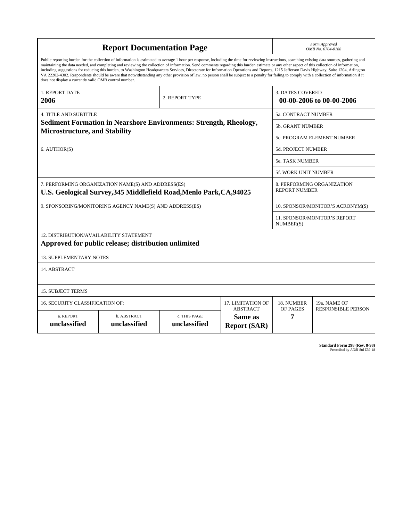| <b>Report Documentation Page</b>                                                                                          |                                                                                                                                                                                                                                                                                                                                                                                                                                                                                                                                                                                                                                                                                                                                                                                                          |                              |                                | Form Approved<br>OMB No. 0704-0188                  |                           |
|---------------------------------------------------------------------------------------------------------------------------|----------------------------------------------------------------------------------------------------------------------------------------------------------------------------------------------------------------------------------------------------------------------------------------------------------------------------------------------------------------------------------------------------------------------------------------------------------------------------------------------------------------------------------------------------------------------------------------------------------------------------------------------------------------------------------------------------------------------------------------------------------------------------------------------------------|------------------------------|--------------------------------|-----------------------------------------------------|---------------------------|
| does not display a currently valid OMB control number.                                                                    | Public reporting burden for the collection of information is estimated to average 1 hour per response, including the time for reviewing instructions, searching existing data sources, gathering and<br>maintaining the data needed, and completing and reviewing the collection of information. Send comments regarding this burden estimate or any other aspect of this collection of information,<br>including suggestions for reducing this burden, to Washington Headquarters Services, Directorate for Information Operations and Reports, 1215 Jefferson Davis Highway, Suite 1204, Arlington<br>VA 22202-4302. Respondents should be aware that notwithstanding any other provision of law, no person shall be subject to a penalty for failing to comply with a collection of information if it |                              |                                |                                                     |                           |
| <b>1. REPORT DATE</b><br>2006                                                                                             |                                                                                                                                                                                                                                                                                                                                                                                                                                                                                                                                                                                                                                                                                                                                                                                                          | 2. REPORT TYPE               |                                | <b>3. DATES COVERED</b><br>00-00-2006 to 00-00-2006 |                           |
| <b>4. TITLE AND SUBTITLE</b>                                                                                              |                                                                                                                                                                                                                                                                                                                                                                                                                                                                                                                                                                                                                                                                                                                                                                                                          |                              |                                | 5a. CONTRACT NUMBER                                 |                           |
| <b>Sediment Formation in Nearshore Environments: Strength, Rheology,</b><br><b>Microstructure, and Stability</b>          |                                                                                                                                                                                                                                                                                                                                                                                                                                                                                                                                                                                                                                                                                                                                                                                                          |                              |                                | <b>5b. GRANT NUMBER</b>                             |                           |
|                                                                                                                           |                                                                                                                                                                                                                                                                                                                                                                                                                                                                                                                                                                                                                                                                                                                                                                                                          |                              |                                | 5c. PROGRAM ELEMENT NUMBER                          |                           |
| 6. AUTHOR(S)                                                                                                              |                                                                                                                                                                                                                                                                                                                                                                                                                                                                                                                                                                                                                                                                                                                                                                                                          |                              |                                | <b>5d. PROJECT NUMBER</b>                           |                           |
|                                                                                                                           |                                                                                                                                                                                                                                                                                                                                                                                                                                                                                                                                                                                                                                                                                                                                                                                                          |                              |                                | <b>5e. TASK NUMBER</b>                              |                           |
|                                                                                                                           |                                                                                                                                                                                                                                                                                                                                                                                                                                                                                                                                                                                                                                                                                                                                                                                                          |                              |                                | <b>5f. WORK UNIT NUMBER</b>                         |                           |
| 7. PERFORMING ORGANIZATION NAME(S) AND ADDRESS(ES)<br>U.S. Geological Survey, 345 Middlefield Road, Menlo Park, CA, 94025 |                                                                                                                                                                                                                                                                                                                                                                                                                                                                                                                                                                                                                                                                                                                                                                                                          |                              |                                | 8. PERFORMING ORGANIZATION<br><b>REPORT NUMBER</b>  |                           |
| 9. SPONSORING/MONITORING AGENCY NAME(S) AND ADDRESS(ES)                                                                   |                                                                                                                                                                                                                                                                                                                                                                                                                                                                                                                                                                                                                                                                                                                                                                                                          |                              |                                | 10. SPONSOR/MONITOR'S ACRONYM(S)                    |                           |
|                                                                                                                           |                                                                                                                                                                                                                                                                                                                                                                                                                                                                                                                                                                                                                                                                                                                                                                                                          |                              |                                | 11. SPONSOR/MONITOR'S REPORT<br>NUMBER(S)           |                           |
| 12. DISTRIBUTION/AVAILABILITY STATEMENT                                                                                   | Approved for public release; distribution unlimited                                                                                                                                                                                                                                                                                                                                                                                                                                                                                                                                                                                                                                                                                                                                                      |                              |                                |                                                     |                           |
| <b>13. SUPPLEMENTARY NOTES</b>                                                                                            |                                                                                                                                                                                                                                                                                                                                                                                                                                                                                                                                                                                                                                                                                                                                                                                                          |                              |                                |                                                     |                           |
| 14. ABSTRACT                                                                                                              |                                                                                                                                                                                                                                                                                                                                                                                                                                                                                                                                                                                                                                                                                                                                                                                                          |                              |                                |                                                     |                           |
| <b>15. SUBJECT TERMS</b>                                                                                                  |                                                                                                                                                                                                                                                                                                                                                                                                                                                                                                                                                                                                                                                                                                                                                                                                          |                              |                                |                                                     |                           |
| <b>16. SECURITY CLASSIFICATION OF:</b>                                                                                    | 17. LIMITATION OF<br><b>ABSTRACT</b>                                                                                                                                                                                                                                                                                                                                                                                                                                                                                                                                                                                                                                                                                                                                                                     | 18. NUMBER<br>OF PAGES       | 19a. NAME OF                   |                                                     |                           |
| a. REPORT<br>unclassified                                                                                                 | b. ABSTRACT<br>unclassified                                                                                                                                                                                                                                                                                                                                                                                                                                                                                                                                                                                                                                                                                                                                                                              | c. THIS PAGE<br>unclassified | Same as<br><b>Report (SAR)</b> | 7                                                   | <b>RESPONSIBLE PERSON</b> |

| <b>Standard Form 298 (Rev. 8-98)</b> |
|--------------------------------------|
| Prescribed by ANSI Std Z39-18        |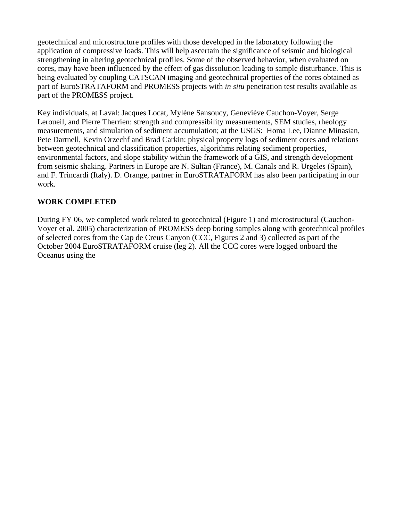geotechnical and microstructure profiles with those developed in the laboratory following the application of compressive loads. This will help ascertain the significance of seismic and biological strengthening in altering geotechnical profiles. Some of the observed behavior, when evaluated on cores, may have been influenced by the effect of gas dissolution leading to sample disturbance. This is being evaluated by coupling CATSCAN imaging and geotechnical properties of the cores obtained as part of EuroSTRATAFORM and PROMESS projects with *in situ* penetration test results available as part of the PROMESS project.

Key individuals, at Laval: Jacques Locat, Mylène Sansoucy, Geneviève Cauchon-Voyer, Serge Leroueil, and Pierre Therrien: strength and compressibility measurements, SEM studies, rheology measurements, and simulation of sediment accumulation; at the USGS: Homa Lee, Dianne Minasian, Pete Dartnell, Kevin Orzechf and Brad Carkin: physical property logs of sediment cores and relations between geotechnical and classification properties, algorithms relating sediment properties, environmental factors, and slope stability within the framework of a GIS, and strength development from seismic shaking. Partners in Europe are N. Sultan (France), M. Canals and R. Urgeles (Spain), and F. Trincardi (Italy). D. Orange, partner in EuroSTRATAFORM has also been participating in our work.

#### **WORK COMPLETED**

During FY 06, we completed work related to geotechnical (Figure 1) and microstructural (Cauchon-Voyer et al. 2005) characterization of PROMESS deep boring samples along with geotechnical profiles of selected cores from the Cap de Creus Canyon (CCC, Figures 2 and 3) collected as part of the October 2004 EuroSTRATAFORM cruise (leg 2). All the CCC cores were logged onboard the Oceanus using the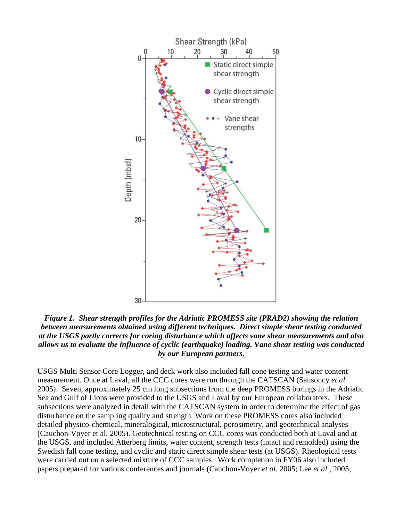

*Figure 1. Shear strength profiles for the Adriatic PROMESS site (PRAD2) showing the relation between measurements obtained using different techniques. Direct simple shear testing conducted at the USGS partly corrects for coring disturbance which affects vane shear measurements and also allows us to evaluate the influence of cyclic (earthquake) loading. Vane shear testing was conducted by our European partners.* 

USGS Multi Sensor Core Logger, and deck work also included fall cone testing and water content measurement. Once at Laval, all the CCC cores were run through the CATSCAN (Sansoucy *et al.* 2005). Seven, approximately 25 cm long subsections from the deep PROMESS borings in the Adriatic Sea and Gulf of Lions were provided to the USGS and Laval by our European collaborators. These subsections were analyzed in detail with the CATSCAN system in order to determine the effect of gas disturbance on the sampling quality and strength. Work on these PROMESS cores also included detailed physico-chemical, mineralogical, microstructural, porosimetry, and geotechnical analyses (Cauchon-Voyer et al. 2005). Geotechnical testing on CCC cores was conducted both at Laval and at the USGS, and included Atterberg limits, water content, strength tests (intact and remolded) using the Swedish fall cone testing, and cyclic and static direct simple shear tests (at USGS). Rheological tests were carried out on a selected mixture of CCC samples. Work completion in FY06 also included papers prepared for various conferences and journals (Cauchon-Voyer *et al.* 2005; Lee *et al.,* 2005;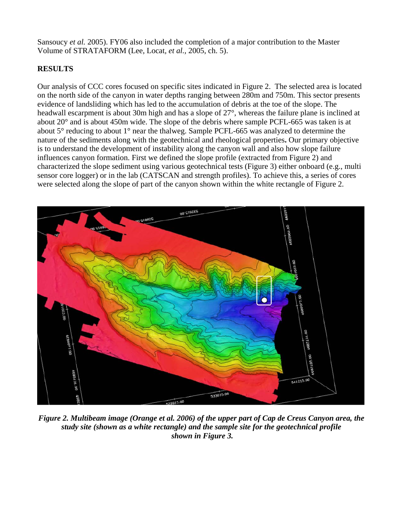Sansoucy *et al.* 2005). FY06 also included the completion of a major contribution to the Master Volume of STRATAFORM (Lee, Locat*, et al.,* 2005, ch. 5).

# **RESULTS**

Our analysis of CCC cores focused on specific sites indicated in Figure 2. The selected area is located on the north side of the canyon in water depths ranging between 280m and 750m. This sector presents evidence of landsliding which has led to the accumulation of debris at the toe of the slope. The headwall escarpment is about 30m high and has a slope of 27°, whereas the failure plane is inclined at about 20° and is about 450m wide. The slope of the debris where sample PCFL-665 was taken is at about 5° reducing to about 1° near the thalweg. Sample PCFL-665 was analyzed to determine the nature of the sediments along with the geotechnical and rheological properties**.** Our primary objective is to understand the development of instability along the canyon wall and also how slope failure influences canyon formation. First we defined the slope profile (extracted from Figure 2) and characterized the slope sediment using various geotechnical tests (Figure 3) either onboard (e.g., multi sensor core logger) or in the lab (CATSCAN and strength profiles). To achieve this, a series of cores were selected along the slope of part of the canyon shown within the white rectangle of Figure 2.



*Figure 2. Multibeam image (Orange et al. 2006) of the upper part of Cap de Creus Canyon area, the study site (shown as a white rectangle) and the sample site for the geotechnical profile shown in Figure 3.*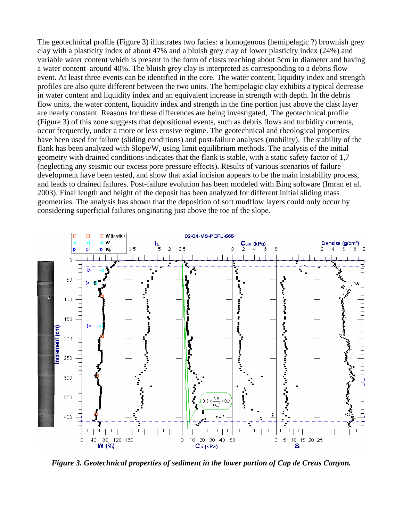The geotechnical profile (Figure 3) illustrates two facies: a homogenous (hemipelagic ?) brownish grey clay with a plasticity index of about 47% and a bluish grey clay of lower plasticity index (24%) and variable water content which is present in the form of clasts reaching about 5cm in diameter and having a water content around 40%. The bluish grey clay is interpreted as corresponding to a debris flow event. At least three events can be identified in the core. The water content, liquidity index and strength profiles are also quite different between the two units. The hemipelagic clay exhibits a typical decrease in water content and liquidity index and an equivalent increase in strength with depth. In the debris flow units, the water content, liquidity index and strength in the fine portion just above the clast layer are nearly constant. Reasons for these differences are being investigated, The geotechnical profile (Figure 3) of this zone suggests that depositional events, such as debris flows and turbidity currents, occur frequently, under a more or less erosive regime. The geotechnical and rheological properties have been used for failure (sliding conditions) and post-failure analyses (mobility). The stability of the flank has been analyzed with Slope/W, using limit equilibrium methods. The analysis of the initial geometry with drained conditions indicates that the flank is stable, with a static safety factor of 1,7 (neglecting any seismic our excess pore pressure effects). Results of various scenarios of failure development have been tested, and show that axial incision appears to be the main instability process, and leads to drained failures. Post-failure evolution has been modeled with Bing software (Imran et al. 2003). Final length and height of the deposit has been analyzed for different initial sliding mass geometries. The analysis has shown that the deposition of soft mudflow layers could only occur by considering superficial failures originating just above the toe of the slope.



*Figure 3. Geotechnical properties of sediment in the lower portion of Cap de Creus Canyon.*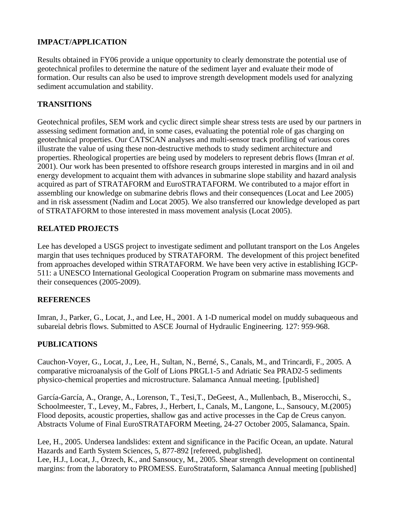# **IMPACT/APPLICATION**

Results obtained in FY06 provide a unique opportunity to clearly demonstrate the potential use of geotechnical profiles to determine the nature of the sediment layer and evaluate their mode of formation. Our results can also be used to improve strength development models used for analyzing sediment accumulation and stability.

# **TRANSITIONS**

Geotechnical profiles, SEM work and cyclic direct simple shear stress tests are used by our partners in assessing sediment formation and, in some cases, evaluating the potential role of gas charging on geotechnical properties. Our CATSCAN analyses and multi-sensor track profiling of various cores illustrate the value of using these non-destructive methods to study sediment architecture and properties. Rheological properties are being used by modelers to represent debris flows (Imran *et al.* 2001). Our work has been presented to offshore research groups interested in margins and in oil and energy development to acquaint them with advances in submarine slope stability and hazard analysis acquired as part of STRATAFORM and EuroSTRATAFORM. We contributed to a major effort in assembling our knowledge on submarine debris flows and their consequences (Locat and Lee 2005) and in risk assessment (Nadim and Locat 2005). We also transferred our knowledge developed as part of STRATAFORM to those interested in mass movement analysis (Locat 2005).

### **RELATED PROJECTS**

Lee has developed a USGS project to investigate sediment and pollutant transport on the Los Angeles margin that uses techniques produced by STRATAFORM. The development of this project benefited from approaches developed within STRATAFORM. We have been very active in establishing IGCP-511: a UNESCO International Geological Cooperation Program on submarine mass movements and their consequences (2005-2009).

#### **REFERENCES**

Imran, J., Parker, G., Locat, J., and Lee, H., 2001. A 1-D numerical model on muddy subaqueous and subareial debris flows. Submitted to ASCE Journal of Hydraulic Engineering. 127: 959-968.

### **PUBLICATIONS**

Cauchon-Voyer, G., Locat, J., Lee, H., Sultan, N., Berné, S., Canals, M., and Trincardi, F., 2005. A comparative microanalysis of the Golf of Lions PRGL1-5 and Adriatic Sea PRAD2-5 sediments physico-chemical properties and microstructure. Salamanca Annual meeting. [published]

García-García, A., Orange, A., Lorenson, T., Tesi,T., DeGeest, A., Mullenbach, B., Miserocchi, S., Schoolmeester, T., Levey, M., Fabres, J., Herbert, I., Canals, M., Langone, L., Sansoucy, M.(2005) Flood deposits, acoustic properties, shallow gas and active processes in the Cap de Creus canyon. Abstracts Volume of Final EuroSTRATAFORM Meeting, 24-27 October 2005, Salamanca, Spain.

Lee, H., 2005. Undersea landslides: extent and significance in the Pacific Ocean, an update. Natural Hazards and Earth System Sciences, 5, 877-892 [refereed, pubglished]. Lee, H.J., Locat, J., Orzech, K., and Sansoucy, M., 2005. Shear strength development on continental

margins: from the laboratory to PROMESS. EuroStrataform, Salamanca Annual meeting [published]